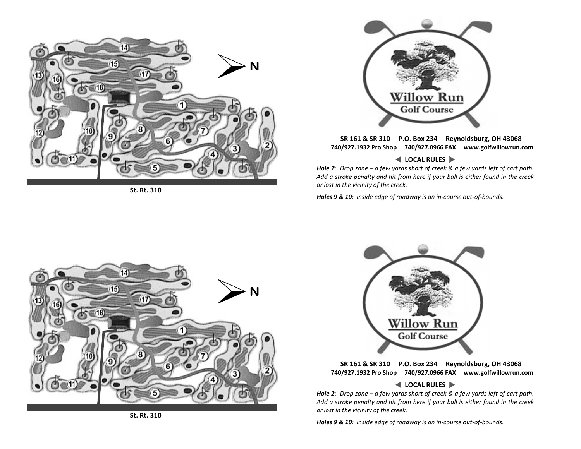

**St. Rt. 310**



**SR 161 & SR 310 P.O. Box 234 Reynoldsburg, OH 43068 740/927.1932 Pro Shop 740/927.0966 FAX www.golfwillowrun.com**

### **LOCAL RULES**

Hole 2: Drop zone  $-a$  few yards short of creek & a few yards left of cart path. Add a stroke penalty and hit from here if your ball is either found in the creek *or lost in the vicinity of the creek.*

Holes 9 & 10: Inside edge of roadway is an in-course out-of-bounds.





**SR 161 & SR 310 P.O. Box 234 Reynoldsburg, OH 43068 740/927.1932 Pro Shop 740/927.0966 FAX www.golfwillowrun.com**

## **LOCAL RULES**

Hole 2: Drop zone  $-a$  few yards short of creek & a few yards left of cart path. Add a stroke penalty and hit from here if your ball is either found in the creek *or lost in the vicinity of the creek.*

Holes 9 & 10: Inside edge of roadway is an in-course out-of-bounds.

**St. Rt. 310**